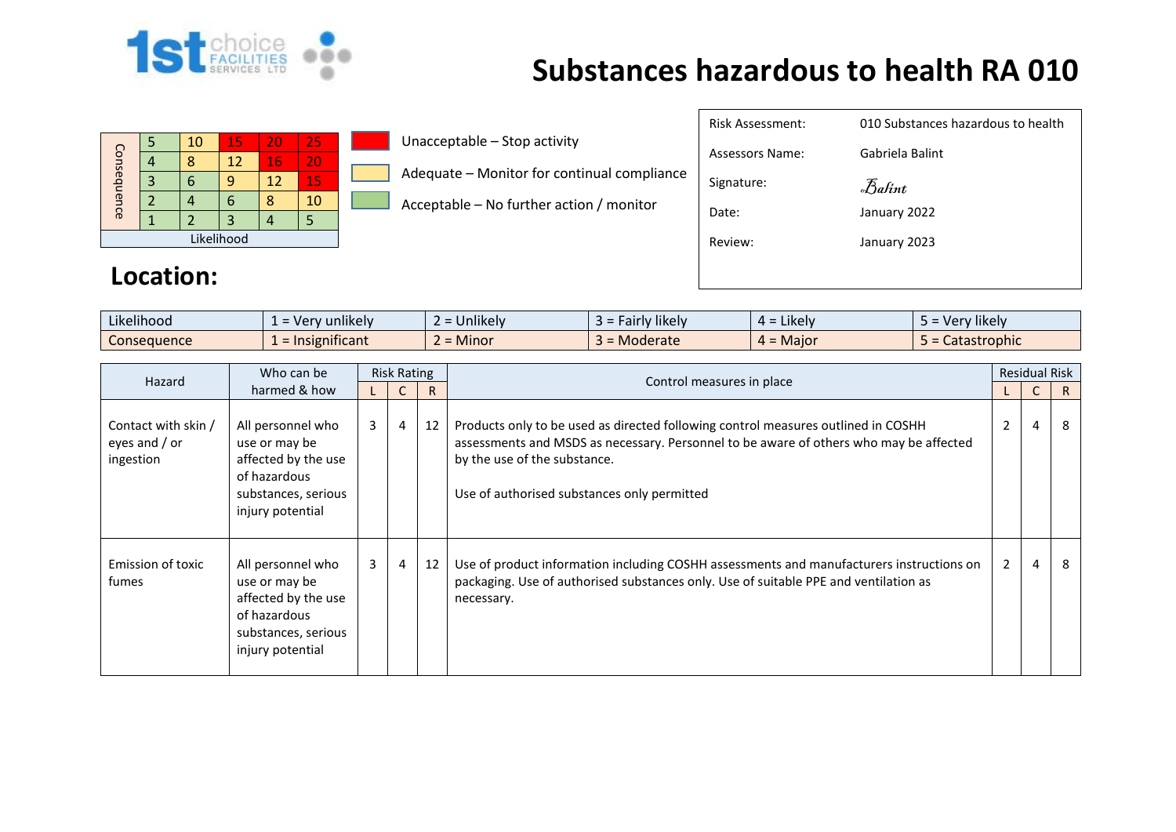

## **Substances hazardous to health RA 010**

| Consequence |  | 10 | 15 | 20 | 25 |  |  |  |
|-------------|--|----|----|----|----|--|--|--|
|             |  |    | 12 | 16 | 20 |  |  |  |
|             |  |    |    | 12 | 15 |  |  |  |
|             |  |    |    |    | 10 |  |  |  |
|             |  |    |    |    |    |  |  |  |
| Likelihood  |  |    |    |    |    |  |  |  |

Unacceptable – Stop activity

Adequate – Monitor for continual compliance

Acceptable – No further action / monitor

| Risk Assessment: | 010 Substances hazardous to health |
|------------------|------------------------------------|
| Assessors Name:  | Gabriela Balint                    |
| Signature:       | Balint                             |
| Date:            | January 2022                       |
| Review:          | January 2023                       |
|                  |                                    |

## **Location:**

| .<br>$\cdots$<br>Likelihood | $\cdots$<br>unlikely<br>. Ver<br>$\overline{\phantom{0}}$<br>$\overline{\phantom{a}}$ | $\cdots$<br><b>Jnlikely</b> | $\cdots$<br>*likely<br>, airly 1 | . .<br>Likely<br>$4 =$  | $\cdots$<br>Very likely |
|-----------------------------|---------------------------------------------------------------------------------------|-----------------------------|----------------------------------|-------------------------|-------------------------|
| Consequence                 | $\cdot$ $\cdot$<br>nsignificant<br>$=$ Ir                                             | ∽<br><b>Minor</b>           | Moderate                         | <b>Maior</b><br>$\mu =$ | Catastrophic            |

| Hazard                                            | Who can be                                                                                                           | <b>Risk Rating</b> |                |    |                                                                                                                                                                                                                                                            |                | <b>Residual Risk</b> |              |
|---------------------------------------------------|----------------------------------------------------------------------------------------------------------------------|--------------------|----------------|----|------------------------------------------------------------------------------------------------------------------------------------------------------------------------------------------------------------------------------------------------------------|----------------|----------------------|--------------|
| harmed & how                                      |                                                                                                                      |                    |                | R  | Control measures in place                                                                                                                                                                                                                                  |                |                      | $\mathsf{R}$ |
| Contact with skin /<br>eyes and / or<br>ingestion | All personnel who<br>use or may be<br>affected by the use<br>of hazardous<br>substances, serious<br>injury potential | $\mathbf{3}$       | $\overline{4}$ | 12 | Products only to be used as directed following control measures outlined in COSHH<br>assessments and MSDS as necessary. Personnel to be aware of others who may be affected<br>by the use of the substance.<br>Use of authorised substances only permitted | $\overline{2}$ | $\overline{4}$       | 8            |
| Emission of toxic<br>fumes                        | All personnel who<br>use or may be<br>affected by the use<br>of hazardous<br>substances, serious<br>injury potential | $\overline{3}$     | $\overline{4}$ | 12 | Use of product information including COSHH assessments and manufacturers instructions on<br>packaging. Use of authorised substances only. Use of suitable PPE and ventilation as<br>necessary.                                                             | $\overline{2}$ | $\overline{4}$       | 8            |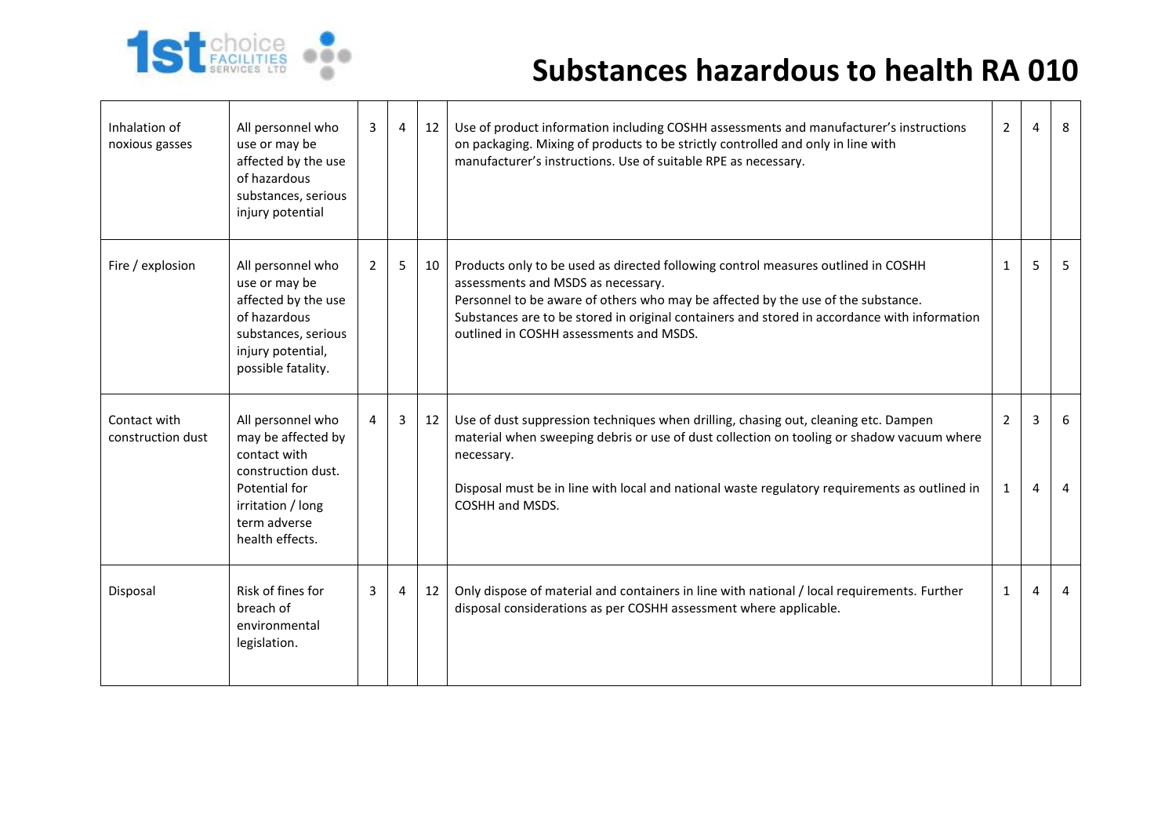

## **Substances hazardous to health RA 010**

| Inhalation of<br>noxious gasses   | All personnel who<br>use or may be<br>affected by the use<br>of hazardous<br>substances, serious<br>injury potential                                   | 3              | 4 | 12 | Use of product information including COSHH assessments and manufacturer's instructions<br>on packaging. Mixing of products to be strictly controlled and only in line with<br>manufacturer's instructions. Use of suitable RPE as necessary.                                                                                                           | $\overline{2}$      | $\overline{a}$      | 8              |
|-----------------------------------|--------------------------------------------------------------------------------------------------------------------------------------------------------|----------------|---|----|--------------------------------------------------------------------------------------------------------------------------------------------------------------------------------------------------------------------------------------------------------------------------------------------------------------------------------------------------------|---------------------|---------------------|----------------|
| Fire / explosion                  | All personnel who<br>use or may be<br>affected by the use<br>of hazardous<br>substances, serious<br>injury potential,<br>possible fatality.            | $\overline{2}$ | 5 | 10 | Products only to be used as directed following control measures outlined in COSHH<br>assessments and MSDS as necessary.<br>Personnel to be aware of others who may be affected by the use of the substance.<br>Substances are to be stored in original containers and stored in accordance with information<br>outlined in COSHH assessments and MSDS. | $\mathbf{1}$        | 5                   | 5              |
| Contact with<br>construction dust | All personnel who<br>may be affected by<br>contact with<br>construction dust.<br>Potential for<br>irritation / long<br>term adverse<br>health effects. | 4              | 3 | 12 | Use of dust suppression techniques when drilling, chasing out, cleaning etc. Dampen<br>material when sweeping debris or use of dust collection on tooling or shadow vacuum where<br>necessary.<br>Disposal must be in line with local and national waste regulatory requirements as outlined in<br>COSHH and MSDS.                                     | $\overline{2}$<br>1 | 3<br>$\overline{a}$ | -6<br>4        |
| Disposal                          | Risk of fines for<br>breach of<br>environmental<br>legislation.                                                                                        | 3              | 4 | 12 | Only dispose of material and containers in line with national / local requirements. Further<br>disposal considerations as per COSHH assessment where applicable.                                                                                                                                                                                       | 1                   | 4                   | $\overline{a}$ |